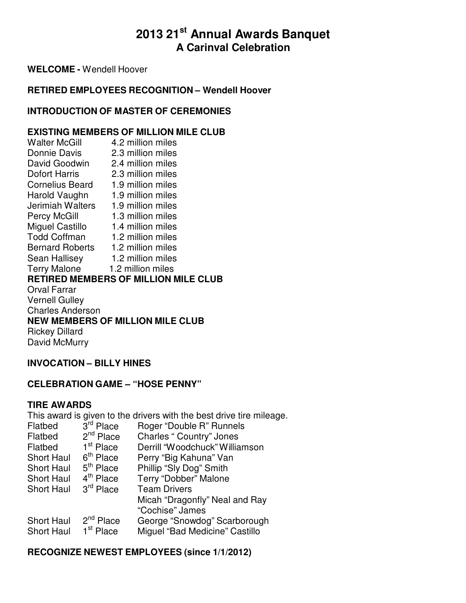# **2013 21st Annual Awards Banquet A Carinval Celebration**

**WELCOME -** Wendell Hoover

### **RETIRED EMPLOYEES RECOGNITION – Wendell Hoover**

### **INTRODUCTION OF MASTER OF CEREMONIES**

### **EXISTING MEMBERS OF MILLION MILE CLUB**

Walter McGill 4.2 million miles Donnie Davis 2.3 million miles David Goodwin 2.4 million miles Dofort Harris 2.3 million miles Cornelius Beard 1.9 million miles Harold Vaughn 1.9 million miles Jerimiah Walters 1.9 million miles Percy McGill 1.3 million miles Miguel Castillo 1.4 million miles Todd Coffman 1.2 million miles Bernard Roberts 1.2 million miles Sean Hallisey 1.2 million miles Terry Malone 1.2 million miles **RETIRED MEMBERS OF MILLION MILE CLUB** Orval Farrar Vernell Gulley Charles Anderson **NEW MEMBERS OF MILLION MILE CLUB** Rickey Dillard David McMurry

### **INVOCATION – BILLY HINES**

### **CELEBRATION GAME – "HOSE PENNY"**

#### **TIRE AWARDS**

This award is given to the drivers with the best drive tire mileage. Flatbed 3<sup>rd</sup> Place Roger "Double R" Runnels Flatbed 2<sup>nd</sup> Place Charles " Country" Jones

| <b>Fialbed</b>    | z Place               | <b>UTRUES</b> COUTILLY JOHES   |
|-------------------|-----------------------|--------------------------------|
| Flatbed           | 1 <sup>st</sup> Place | Derrill "Woodchuck" Williamson |
| <b>Short Haul</b> | $6th$ Place           | Perry "Big Kahuna" Van         |
| <b>Short Haul</b> | $5th$ Place           | Phillip "Sly Dog" Smith        |
| <b>Short Haul</b> | 4 <sup>th</sup> Place | Terry "Dobber" Malone          |
| <b>Short Haul</b> | 3 <sup>rd</sup> Place | <b>Team Drivers</b>            |
|                   |                       | Micah "Dragonfly" Neal and Ray |
|                   |                       | "Cochise" James                |
| <b>Short Haul</b> | $2nd$ Place           | George "Snowdog" Scarborough   |
| <b>Short Haul</b> | 1 <sup>st</sup> Place | Miguel "Bad Medicine" Castillo |
|                   |                       |                                |

### **RECOGNIZE NEWEST EMPLOYEES (since 1/1/2012)**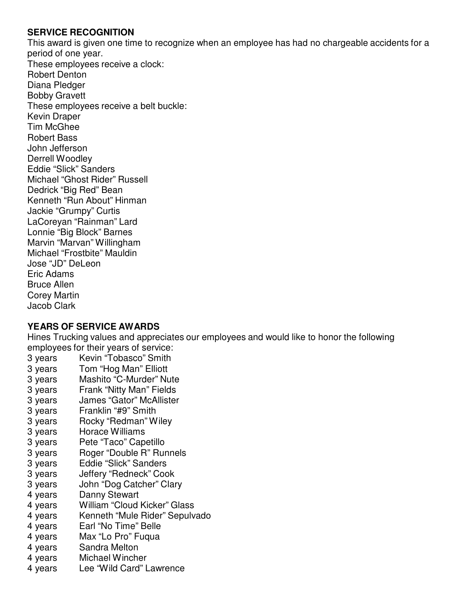### **SERVICE RECOGNITION**

This award is given one time to recognize when an employee has had no chargeable accidents for a period of one year. These employees receive a clock: Robert Denton Diana Pledger Bobby Gravett These employees receive a belt buckle: Kevin Draper Tim McGhee Robert Bass John Jefferson Derrell Woodley Eddie "Slick" Sanders Michael "Ghost Rider" Russell Dedrick "Big Red" Bean Kenneth "Run About" Hinman Jackie "Grumpy" Curtis LaCoreyan "Rainman" Lard Lonnie "Big Block" Barnes Marvin "Marvan" Willingham Michael "Frostbite" Mauldin Jose "JD" DeLeon Eric Adams Bruce Allen Corey Martin Jacob Clark

### **YEARS OF SERVICE AWARDS**

Hines Trucking values and appreciates our employees and would like to honor the following employees for their years of service:

- 3 years Kevin "Tobasco" Smith
- 3 years Tom "Hog Man" Elliott
- 3 years Mashito "C-Murder" Nute
- 3 years Frank "Nitty Man" Fields
- 3 years James "Gator" McAllister
- 3 years Franklin "#9" Smith
- 3 years Rocky "Redman" Wiley
- 3 years Horace Williams
- 3 years Pete "Taco" Capetillo
- 3 years Roger "Double R" Runnels
- 3 years Eddie "Slick" Sanders
- 3 years Jeffery "Redneck" Cook
- 3 years John "Dog Catcher" Clary
- 4 years Danny Stewart
- 4 years William "Cloud Kicker" Glass
- 4 years Kenneth "Mule Rider" Sepulvado
- 4 years Earl "No Time" Belle
- 4 years Max "Lo Pro" Fuqua
- 4 years Sandra Melton
- 4 years Michael Wincher
- 4 years Lee "Wild Card" Lawrence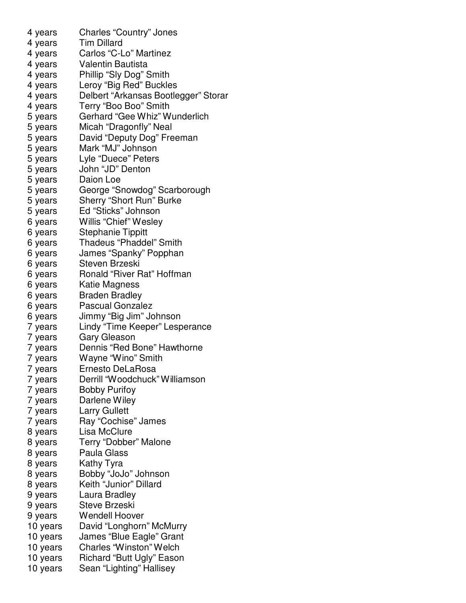4 years Charles "Country" Jones 4 years Tim Dillard 4 years Carlos "C-Lo" Martinez 4 years Valentin Bautista 4 years Phillip "Sly Dog" Smith 4 years Leroy "Big Red" Buckles 4 years Delbert "Arkansas Bootlegger" Storar 4 years Terry "Boo Boo" Smith 5 years Gerhard "Gee Whiz" Wunderlich 5 years Micah "Dragonfly" Neal 5 years David "Deputy Dog" Freeman 5 years Mark "MJ" Johnson 5 years Lyle "Duece" Peters 5 years John "JD" Denton 5 years Daion Loe 5 years George "Snowdog" Scarborough 5 years Sherry "Short Run" Burke 5 years Ed "Sticks" Johnson 6 years Willis "Chief" Wesley 6 years Stephanie Tippitt 6 years Thadeus "Phaddel" Smith 6 years James "Spanky" Popphan 6 years Steven Brzeski 6 years Ronald "River Rat" Hoffman 6 years Katie Magness 6 years Braden Bradley 6 years Pascual Gonzalez 6 years Jimmy "Big Jim" Johnson 7 years Lindy "Time Keeper" Lesperance 7 years Gary Gleason 7 years Dennis "Red Bone" Hawthorne 7 years Wayne "Wino" Smith 7 years Ernesto DeLaRosa 7 years Derrill "Woodchuck" Williamson 7 years Bobby Purifoy 7 years Darlene Wiley 7 years Larry Gullett 7 years Ray "Cochise" James 8 years Lisa McClure 8 years Terry "Dobber" Malone 8 years Paula Glass 8 years Kathy Tyra 8 years Bobby "JoJo" Johnson 8 years Keith "Junior" Dillard 9 years Laura Bradley 9 years Steve Brzeski 9 years Wendell Hoover 10 years David "Longhorn" McMurry 10 years James "Blue Eagle" Grant 10 years Charles "Winston" Welch 10 years Richard "Butt Ugly" Eason 10 years Sean "Lighting" Hallisey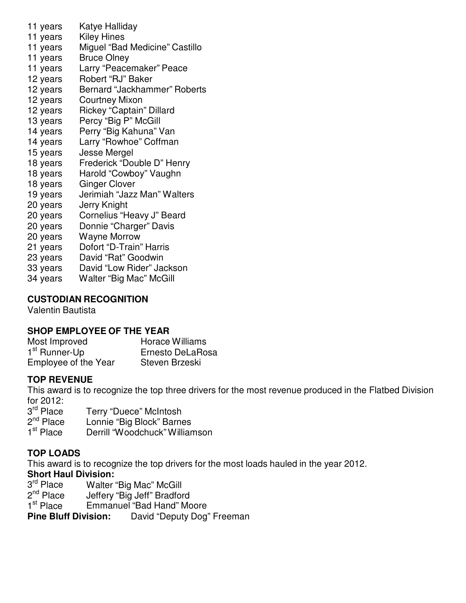- 11 years Katye Halliday
- 11 years Kiley Hines
- 11 years Miguel "Bad Medicine" Castillo
- 11 years Bruce Olney
- 11 years Larry "Peacemaker" Peace
- 12 years Robert "RJ" Baker
- 12 years Bernard "Jackhammer" Roberts
- 12 years Courtney Mixon
- 12 years Rickey "Captain" Dillard
- 13 years Percy "Big P" McGill
- 14 years Perry "Big Kahuna" Van
- 14 years Larry "Rowhoe" Coffman
- 15 years Jesse Mergel
- 18 years Frederick "Double D" Henry
- 18 years Harold "Cowboy" Vaughn
- 18 years Ginger Clover
- 19 years Jerimiah "Jazz Man" Walters
- 20 years Jerry Knight
- 20 years Cornelius "Heavy J" Beard
- 20 years Donnie "Charger" Davis
- 20 years Wayne Morrow
- 21 years Dofort "D-Train" Harris
- 23 years David "Rat" Goodwin
- 33 years David "Low Rider" Jackson
- 34 years Walter "Big Mac" McGill

## **CUSTODIAN RECOGNITION**

Valentin Bautista

## **SHOP EMPLOYEE OF THE YEAR**

Most Improved Horace Williams 1<sup>st</sup> Runner-Up Ernesto DeLaRosa Employee of the Year Steven Brzeski

## **TOP REVENUE**

This award is to recognize the top three drivers for the most revenue produced in the Flatbed Division for 2012:

3<sup>rd</sup> Place Terry "Duece" McIntosh

 $2^{nd}$  Place Lonnie "Big Block" Barnes

1<sup>st</sup> Place Derrill "Woodchuck" Williamson

# **TOP LOADS**

This award is to recognize the top drivers for the most loads hauled in the year 2012. **Short Haul Division:**

- 3<sup>rd</sup> Place Walter "Big Mac" McGill
- 2<sup>nd</sup> Place Jeffery "Big Jeff" Bradford

1<sup>st</sup> Place Emmanue<br>**Pine Bluff Division:** Emmanuel "Bad Hand" Moore

**Pine Bluff Division:** David "Deputy Dog" Freeman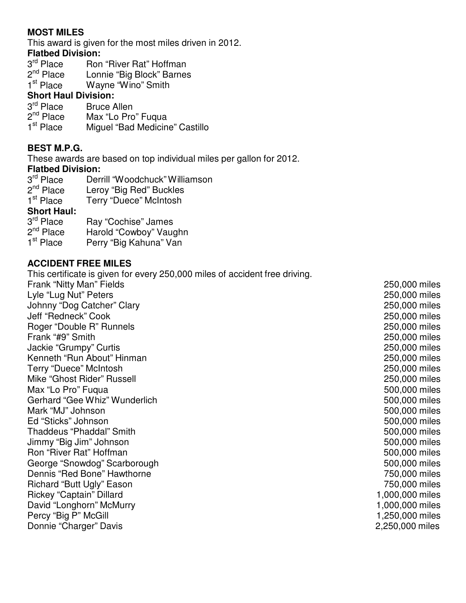### **MOST MILES**

This award is given for the most miles driven in 2012.

### **Flatbed Division:**

- 3<sup>rd</sup> Place Ron "River Rat" Hoffman
- 2<sup>nd</sup> Place Lonnie "Big Block" Barnes
- 1<sup>st</sup> Place Wayne "Wino" Smith

### **Short Haul Division:**

3<sup>rd</sup> Place **Bruce Allen**  $2<sup>nd</sup>$  Place Max "Lo Pro" Fuqua 1<sup>st</sup> Place Miguel "Bad Medicine" Castillo

### **BEST M.P.G.**

These awards are based on top individual miles per gallon for 2012.

### **Flatbed Division:**

- 3<sup>rd</sup> Place 2<sup>nd</sup> Place 1<sup>st</sup> Place Derrill "Woodchuck" Williamson Leroy "Big Red" Buckles Terry "Duece" McIntosh **Short Haul:**
- 3<sup>rd</sup> Place Ray "Cochise" James  $2^{nd}$  Place Harold "Cowboy" Vaughn 1<sup>st</sup> Place Perry "Big Kahuna" Van

### **ACCIDENT FREE MILES**

This certificate is given for every 250,000 miles of accident free driving. Frank "Nitty Man" Fields 250,000 miles Lyle "Lug Nut" Peters 250,000 miles Johnny "Dog Catcher" Clary 250,000 miles Jeff "Redneck" Cook 250,000 miles Roger "Double R" Runnels 250,000 miles Frank "#9" Smith 250,000 miles Jackie "Grumpy" Curtis 250,000 miles Kenneth "Run About" Hinman 250,000 miles Terry "Duece" McIntosh 250,000 miles Mike "Ghost Rider" Russell 250,000 miles Max "Lo Pro" Fuqua 600 miles Gerhard "Gee Whiz" Wunderlich 500,000 miles Mark "MJ" Johnson 500,000 miles Ed "Sticks" Johnson 500,000 miles Thaddeus "Phaddal" Smith 500,000 miles Jimmy "Big Jim" Johnson 500,000 miles Ron "River Rat" Hoffman 500,000 miles George "Snowdog" Scarborough 500,000 miles Dennis "Red Bone" Hawthorne **1988** Number 2012 12:30 Number 2014 12:30 Number 2014 Richard "Butt Ugly" Eason 750,000 miles Rickey "Captain" Dillard 1,000,000 miles David "Longhorn" McMurry 1,000,000 miles Percy "Big P" McGill 250,000 miles

Donnie "Charger" Davis 2,250,000 miles